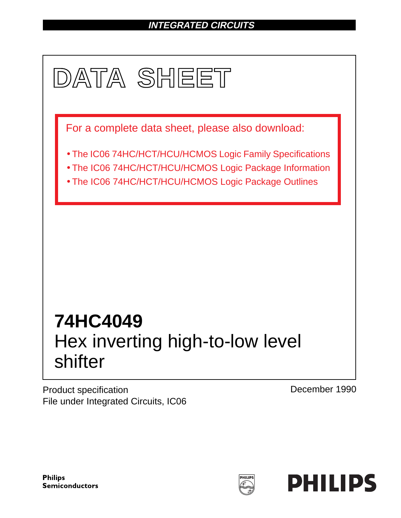# **INTEGRATED CIRCUITS**



Product specification File under Integrated Circuits, IC06 December 1990

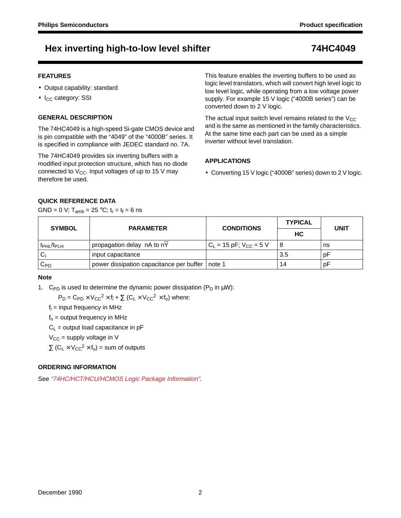## Hex inverting high-to-low level shifter **74HC4049**

## **FEATURES**

- Output capability: standard
- $\bullet$  I<sub>CC</sub> category: SSI

## **GENERAL DESCRIPTION**

The 74HC4049 is a high-speed Si-gate CMOS device and is pin compatible with the "4049" of the "4000B" series. It is specified in compliance with JEDEC standard no. 7A.

The 74HC4049 provides six inverting buffers with a modified input protection structure, which has no diode connected to  $V_{CC}$ . Input voltages of up to 15 V may therefore be used.

This feature enables the inverting buffers to be used as logic level translators, which will convert high level logic to low level logic, while operating from a low voltage power supply. For example 15 V logic ("4000B series") can be converted down to 2 V logic.

The actual input switch level remains related to the  $V_{CC}$ and is the same as mentioned in the family characteristics. At the same time each part can be used as a simple inverter without level translation.

## **APPLICATIONS**

• Converting 15 V logic ("4000B" series) down to 2 V logic.

## **QUICK REFERENCE DATA**

GND = 0 V;  $T_{amb}$  = 25 °C;  $t_r = t_f = 6$  ns

| <b>SYMBOL</b>             | <b>PARAMETER</b>                         | <b>CONDITIONS</b>               | <b>TYPICAL</b> | <b>UNIT</b> |  |
|---------------------------|------------------------------------------|---------------------------------|----------------|-------------|--|
|                           |                                          |                                 | HC.            |             |  |
| $t_{\rm PHL}/t_{\rm PLH}$ | propagation delay nA to nY               | $C_{L}$ = 15 pF; $V_{CC}$ = 5 V | 8              | ns          |  |
| <sub>C</sub>              | input capacitance                        |                                 | 3.5            | рF          |  |
| $C_{PD}$                  | power dissipation capacitance per buffer | note 1                          | 14             | рF          |  |

### **Note**

1. C<sub>PD</sub> is used to determine the dynamic power dissipation (P<sub>D</sub> in  $\mu$ W):

 $P_D = C_{PD} \times V_{CC}^2 \times f_i + \sum (C_L \times V_{CC}^2 \times f_o)$  where:

 $f_i$  = input frequency in MHz

 $f<sub>o</sub>$  = output frequency in MHz

 $C_L$  = output load capacitance in pF

 $V_{CC}$  = supply voltage in V

 $\Sigma$  (C<sub>L</sub> × V<sub>CC</sub><sup>2</sup> × f<sub>o</sub>) = sum of outputs

## **ORDERING INFORMATION**

See "74HC/HCT/HCU/HCMOS Logic Package Information".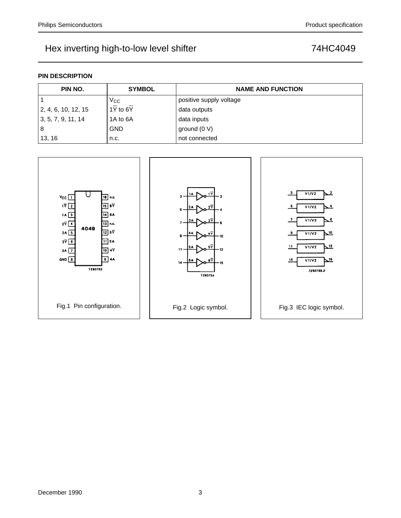## Hex inverting high-to-low level shifter **74HC4049**

## **PIN DESCRIPTION**

| PIN NO.             | <b>SYMBOL</b>                       | <b>NAME AND FUNCTION</b> |
|---------------------|-------------------------------------|--------------------------|
|                     | $V_{\rm CC}$                        | positive supply voltage  |
| 2, 4, 6, 10, 12, 15 | $1\overline{Y}$ to 6 $\overline{Y}$ | data outputs             |
| 3, 5, 7, 9, 11, 14  | 1A to 6A                            | data inputs              |
| 8                   | <b>GND</b>                          | ground $(0 V)$           |
| 13, 16              | n.c.                                | not connected            |

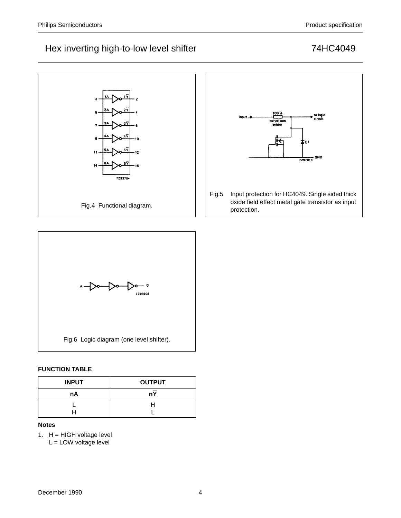## Hex inverting high-to-low level shifter manufactured and the metal of 74HC4049





## **FUNCTION TABLE**

| <b>INPUT</b> | <b>OUTPUT</b> |  |  |  |  |
|--------------|---------------|--|--|--|--|
| nA           | nY            |  |  |  |  |
|              |               |  |  |  |  |
|              |               |  |  |  |  |

## **Notes**

- 1.  $H = HIGH$  voltage level
	- L = LOW voltage level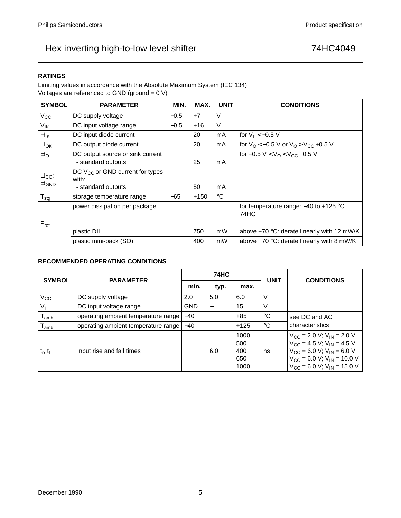## Hex inverting high-to-low level shifter **74HC4049**

## **RATINGS**

Limiting values in accordance with the Absolute Maximum System (IEC 134) Voltages are referenced to GND (ground = 0 V)

| <b>SYMBOL</b>                       | <b>PARAMETER</b>                                                    | MIN.   | MAX.   | <b>UNIT</b> | <b>CONDITIONS</b>                                 |
|-------------------------------------|---------------------------------------------------------------------|--------|--------|-------------|---------------------------------------------------|
| $V_{\rm CC}$                        | DC supply voltage                                                   | $-0.5$ | $+7$   | $\vee$      |                                                   |
| V <sub>IK</sub>                     | DC input voltage range                                              | $-0.5$ | $+16$  | $\vee$      |                                                   |
| $-I_{IK}$                           | DC input diode current                                              |        | 20     | mA          | for $V_1 < -0.5$ V                                |
| $\pm I_{OK}$                        | DC output diode current                                             |        | 20     | mA          | for $V_O < -0.5$ V or $V_O > V_{CC}$ +0.5 V       |
| $\pm I_{\rm O}$                     | DC output source or sink current<br>- standard outputs              |        | 25     | mA          | for $-0.5 V < VO < VCC +0.5 V$                    |
| $\pm I_{\rm CC}$ ;<br>$\pm I_{GND}$ | DC $V_{CC}$ or GND current for types<br>with:<br>- standard outputs |        | 50     | mA          |                                                   |
| $T_{\text{stg}}$                    | storage temperature range                                           | -65    | $+150$ | $^{\circ}C$ |                                                   |
|                                     | power dissipation per package                                       |        |        |             | for temperature range: $-40$ to $+125$ °C<br>74HC |
| $P_{\text{tot}}$                    | plastic DIL                                                         |        | 750    | mW          | above $+70$ °C: derate linearly with 12 mW/K      |
|                                     | plastic mini-pack (SO)                                              |        | 400    | mW          | above $+70$ °C: derate linearly with 8 mW/K       |

### **RECOMMENDED OPERATING CONDITIONS**

| <b>SYMBOL</b>               | <b>PARAMETER</b>                    |            | <b>74HC</b> |                                   | <b>UNIT</b> | <b>CONDITIONS</b>                                                                                                                                                                                                        |  |
|-----------------------------|-------------------------------------|------------|-------------|-----------------------------------|-------------|--------------------------------------------------------------------------------------------------------------------------------------------------------------------------------------------------------------------------|--|
|                             |                                     | min.       | typ.        | max.                              |             |                                                                                                                                                                                                                          |  |
| $V_{\rm CC}$                | DC supply voltage                   | 2.0        | 5.0         | 6.0                               | ٧           |                                                                                                                                                                                                                          |  |
| $V_{I}$                     | DC input voltage range              | <b>GND</b> |             | 15                                | V           |                                                                                                                                                                                                                          |  |
| $T_{amb}$                   | operating ambient temperature range | $-40$      |             | $+85$                             | $^{\circ}C$ | see DC and AC                                                                                                                                                                                                            |  |
| $\mathsf{T}_{\mathsf{amb}}$ | operating ambient temperature range | $-40$      |             | $+125$                            | $^{\circ}C$ | characteristics                                                                                                                                                                                                          |  |
| $t_r$ , $t_f$               | input rise and fall times           |            | 6.0         | 1000<br>500<br>400<br>650<br>1000 | ns          | $V_{\text{CC}}$ = 2.0 V; V <sub>IN</sub> = 2.0 V<br>$V_{CC}$ = 4.5 V; V <sub>IN</sub> = 4.5 V<br>$V_{CC}$ = 6.0 V; $V_{IN}$ = 6.0 V<br>$V_{CC}$ = 6.0 V; V <sub>IN</sub> = 10.0 V<br>$V_{CC}$ = 6.0 V; $V_{IN}$ = 15.0 V |  |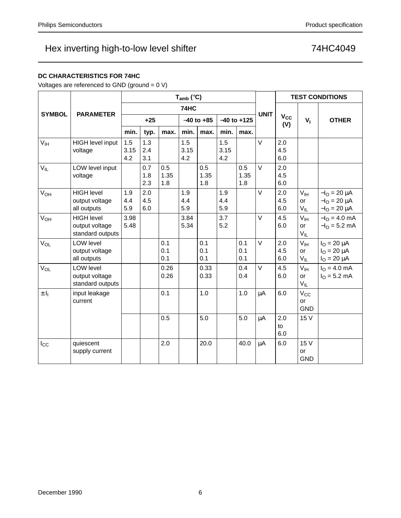| $V_{IL}$              | LOW level input<br>voltage                              |                   | 0.7<br>1.8<br>2.3 | 0.5<br>1.35<br>1.8 |                   | 0.5<br>1.35<br>1.8 |                   | 0.5<br>1.35<br>1.8 | $\vee$ | 2.0<br>4.5<br>6.0 |                                   |                                                                        |
|-----------------------|---------------------------------------------------------|-------------------|-------------------|--------------------|-------------------|--------------------|-------------------|--------------------|--------|-------------------|-----------------------------------|------------------------------------------------------------------------|
| V <sub>OH</sub>       | <b>HIGH level</b><br>output voltage<br>all outputs      | 1.9<br>4.4<br>5.9 | 2.0<br>4.5<br>6.0 |                    | 1.9<br>4.4<br>5.9 |                    | 1.9<br>4.4<br>5.9 |                    | $\vee$ | 2.0<br>4.5<br>6.0 | $V_{\text{IH}}$<br>or<br>$V_{IL}$ | $-IO = 20 \mu A$<br>$-IO = 20 \mu A$<br>$-I_{\Omega} = 20 \mu A$       |
| <b>V<sub>OH</sub></b> | <b>HIGH level</b><br>output voltage<br>standard outputs | 3.98<br>5.48      |                   |                    | 3.84<br>5.34      |                    | 3.7<br>5.2        |                    | $\vee$ | 4.5<br>6.0        | V <sub>IH</sub><br>or<br>$V_{IL}$ | $-IO = 4.0$ mA<br>$-IO = 5.2 mA$                                       |
| V <sub>OL</sub>       | <b>LOW level</b><br>output voltage<br>all outputs       |                   |                   | 0.1<br>0.1<br>0.1  |                   | 0.1<br>0.1<br>0.1  |                   | 0.1<br>0.1<br>0.1  | $\vee$ | 2.0<br>4.5<br>6.0 | V <sub>IH</sub><br>or<br>$V_{IL}$ | $I_{\rm O} = 20 \mu A$<br>$I_{\rm O} = 20 \mu A$<br>$I_{O} = 20 \mu A$ |
| V <sub>OL</sub>       | <b>LOW level</b><br>output voltage<br>standard outputs  |                   |                   | 0.26<br>0.26       |                   | 0.33<br>0.33       |                   | 0.4<br>0.4         | $\vee$ | 4.5<br>6.0        | $V_{\text{IH}}$<br>or<br>$V_{IL}$ | $I_{\Omega} = 4.0$ mA<br>$IO = 5.2 mA$                                 |
| $\pm I_1$             | input leakage<br>current                                |                   |                   | 0.1                |                   | 1.0                |                   | 1.0                | μA     | 6.0               | $V_{\rm CC}$<br>or<br><b>GND</b>  |                                                                        |
|                       |                                                         |                   |                   | 0.5                |                   | 5.0                |                   | 5.0                | μA     | 2.0<br>to<br>6.0  | 15 V                              |                                                                        |
| $I_{\rm CC}$          | quiescent<br>supply current                             |                   |                   | 2.0                |                   | 20.0               |                   | 40.0               | μA     | 6.0               | 15 V<br>or<br><b>GND</b>          |                                                                        |

**Tamb (**°**C)**

**74HC**

 $min.$  typ.  $\lfloor max.$  min.  $\lfloor max.$  min.  $\lfloor max.$ 

1.5 3.15 4.2

**UNIT**

 $V$  2.0 4.5 6.0

**(V) +25** <sup>−</sup>**40 to +85** <sup>−</sup>**40 to +125 VI OTHER**

1.5 3.15 4.2

**V<sub>CC</sub>**<br>(**V**)

## Hex inverting high-to-low level shifter **74HC4049**

1.5 3.15 4.2

1.3 2.4 3.1

### **DC CHARACTERISTICS FOR 74HC**

**SYMBOL PARAMETER**

 $V_{\text{IH}}$  HIGH level input voltage

Voltages are referenced to GND (ground = 0 V)

**TEST CONDITIONS**